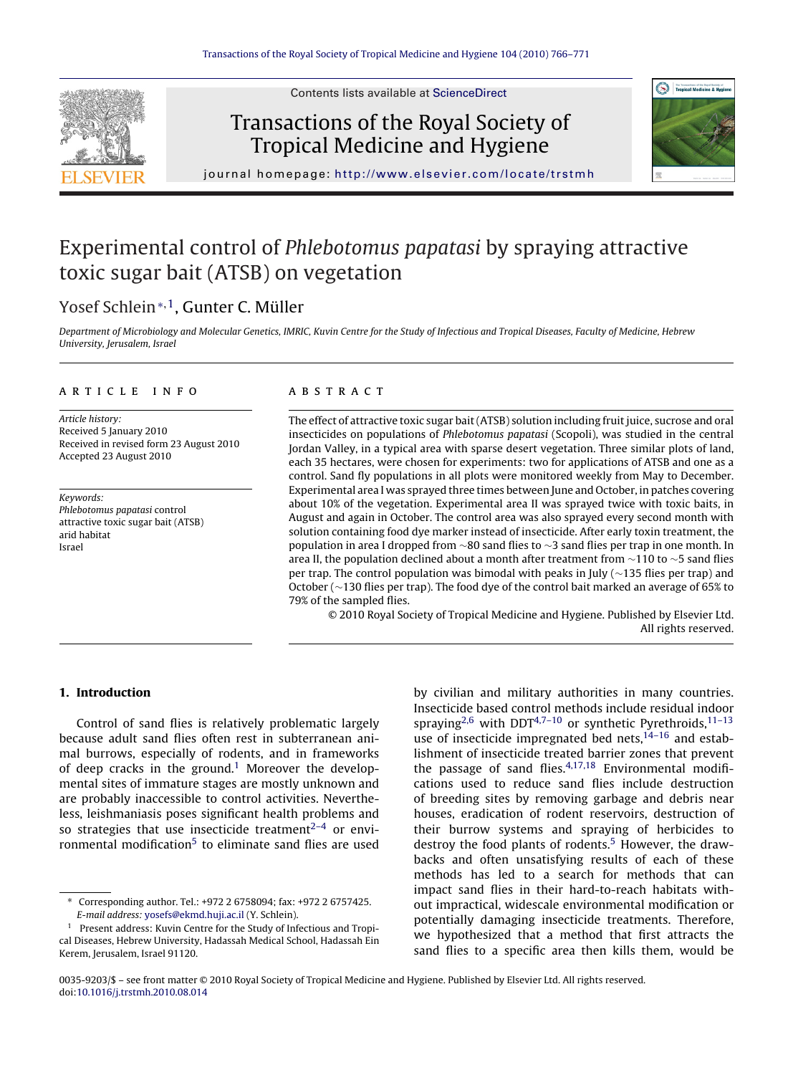

Contents lists available at [ScienceDirect](http://www.sciencedirect.com/science/journal/00359203)

## Transactions of the Royal Society of Tropical Medicine and Hygiene



journal homepage: <http://www.elsevier.com/locate/trstmh>

# Experimental control of Phlebotomus papatasi by spraying attractive toxic sugar bait (ATSB) on vegetation

## Yosef Schlein∗,1, Gunter C. Müller

Department of Microbiology and Molecular Genetics, IMRIC, Kuvin Centre for the Study of Infectious and Tropical Diseases, Faculty of Medicine, Hebrew University, Jerusalem, Israel

#### article info

Article history: Received 5 January 2010 Received in revised form 23 August 2010 Accepted 23 August 2010

Keywords: Phlebotomus papatasi control attractive toxic sugar bait (ATSB) arid habitat Israel

#### **ABSTRACT**

The effect of attractive toxic sugar bait (ATSB) solution including fruit juice, sucrose and oral insecticides on populations of Phlebotomus papatasi (Scopoli), was studied in the central Jordan Valley, in a typical area with sparse desert vegetation. Three similar plots of land, each 35 hectares, were chosen for experiments: two for applications of ATSB and one as a control. Sand fly populations in all plots were monitored weekly from May to December. Experimental area I was sprayed three times between June and October, in patches covering about 10% of the vegetation. Experimental area II was sprayed twice with toxic baits, in August and again in October. The control area was also sprayed every second month with solution containing food dye marker instead of insecticide. After early toxin treatment, the population in area I dropped from ∼80 sand flies to ∼3 sand flies per trap in one month. In area II, the population declined about a month after treatment from  $\sim$ 110 to  $\sim$ 5 sand flies per trap. The control population was bimodal with peaks in July (∼135 flies per trap) and October (∼130 flies per trap). The food dye of the control bait marked an average of 65% to 79% of the sampled flies.

© 2010 Royal Society of Tropical Medicine and Hygiene. Published by Elsevier Ltd. All rights reserved.

## **1. Introduction**

Control of sand flies is relatively problematic largely because adult sand flies often rest in subterranean animal burrows, especially of rodents, and in frameworks of deep cracks in the ground.<sup>[1](#page-4-0)</sup> Moreover the developmental sites of immature stages are mostly unknown and are probably inaccessible to control activities. Nevertheless, leishmaniasis poses significant health problems and so strategies that use insecticide treatment $2-4$  or envi-ronmental modification<sup>[5](#page-4-0)</sup> to eliminate sand flies are used

by civilian and military authorities in many countries. Insecticide based control methods include residual indoor spraying<sup>[2,6](#page-4-0)</sup> with DDT<sup>4,7-10</sup> or synthetic Pyrethroids,<sup>11-13</sup> use of insecticide impregnated bed nets, $14-16$  and establishment of insecticide treated barrier zones that prevent the passage of sand flies. $4,17,18$  Environmental modifications used to reduce sand flies include destruction of breeding sites by removing garbage and debris near houses, eradication of rodent reservoirs, destruction of their burrow systems and spraying of herbicides to destroy the food plants of rodents.<sup>[5](#page-4-0)</sup> However, the drawbacks and often unsatisfying results of each of these methods has led to a search for methods that can impact sand flies in their hard-to-reach habitats without impractical, widescale environmental modification or potentially damaging insecticide treatments. Therefore, we hypothesized that a method that first attracts the sand flies to a specific area then kills them, would be

<sup>∗</sup> Corresponding author. Tel.: +972 2 6758094; fax: +972 2 6757425. E-mail address: [yosefs@ekmd.huji.ac.il](mailto:yosefs@ekmd.huji.ac.il) (Y. Schlein).

<sup>&</sup>lt;sup>1</sup> Present address: Kuvin Centre for the Study of Infectious and Tropical Diseases, Hebrew University, Hadassah Medical School, Hadassah Ein Kerem, Jerusalem, Israel 91120.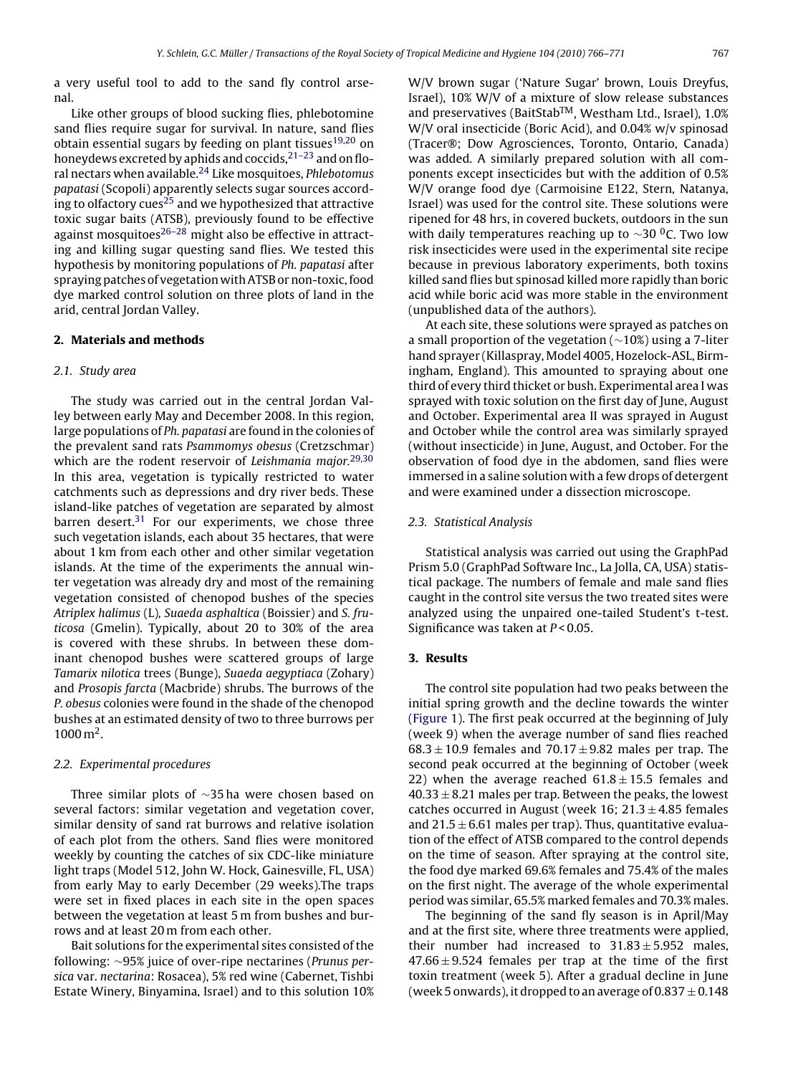a very useful tool to add to the sand fly control arsenal.

Like other groups of blood sucking flies, phlebotomine sand flies require sugar for survival. In nature, sand flies obtain essential sugars by feeding on plant tissues<sup>[19,20](#page-4-0)</sup> on honeydews excreted by aphids and coccids,  $2^{1-23}$  and on floral nectars when available[.24](#page-4-0) Like mosquitoes, Phlebotomus papatasi (Scopoli) apparently selects sugar sources accord-ing to olfactory cues<sup>[25](#page-4-0)</sup> and we hypothesized that attractive toxic sugar baits (ATSB), previously found to be effective against mosquitoes $26-28$  might also be effective in attracting and killing sugar questing sand flies. We tested this hypothesis by monitoring populations of Ph. papatasi after spraying patches of vegetation with ATSB or non-toxic, food dye marked control solution on three plots of land in the arid, central Jordan Valley.

## **2. Materials and methods**

#### 2.1. Study area

The study was carried out in the central Jordan Valley between early May and December 2008. In this region, large populations of Ph. papatasi are found in the colonies of the prevalent sand rats Psammomys obesus (Cretzschmar) which are the rodent reservoir of Leishmania major.<sup>[29,30](#page-4-0)</sup> In this area, vegetation is typically restricted to water catchments such as depressions and dry river beds. These island-like patches of vegetation are separated by almost barren desert. $31$  For our experiments, we chose three such vegetation islands, each about 35 hectares, that were about 1 km from each other and other similar vegetation islands. At the time of the experiments the annual winter vegetation was already dry and most of the remaining vegetation consisted of chenopod bushes of the species Atriplex halimus (L), Suaeda asphaltica (Boissier) and S. fruticosa (Gmelin). Typically, about 20 to 30% of the area is covered with these shrubs. In between these dominant chenopod bushes were scattered groups of large Tamarix nilotica trees (Bunge), Suaeda aegyptiaca (Zohary) and Prosopis farcta (Macbride) shrubs. The burrows of the P. obesus colonies were found in the shade of the chenopod bushes at an estimated density of two to three burrows per  $1000 \,\mathrm{m}^2$ .

#### 2.2. Experimental procedures

Three similar plots of ∼35 ha were chosen based on several factors: similar vegetation and vegetation cover, similar density of sand rat burrows and relative isolation of each plot from the others. Sand flies were monitored weekly by counting the catches of six CDC-like miniature light traps (Model 512, John W. Hock, Gainesville, FL, USA) from early May to early December (29 weeks).The traps were set in fixed places in each site in the open spaces between the vegetation at least 5 m from bushes and burrows and at least 20 m from each other.

Bait solutions for the experimental sites consisted of the following: ∼95% juice of over-ripe nectarines (Prunus persica var. nectarina: Rosacea), 5% red wine (Cabernet, Tishbi Estate Winery, Binyamina, Israel) and to this solution 10% W/V brown sugar ('Nature Sugar' brown, Louis Dreyfus, Israel), 10% W/V of a mixture of slow release substances and preservatives (BaitStab<sup>TM</sup>, Westham Ltd., Israel), 1.0% W/V oral insecticide (Boric Acid), and 0.04% w/v spinosad (Tracer®; Dow Agrosciences, Toronto, Ontario, Canada) was added. A similarly prepared solution with all components except insecticides but with the addition of 0.5% W/V orange food dye (Carmoisine E122, Stern, Natanya, Israel) was used for the control site. These solutions were ripened for 48 hrs, in covered buckets, outdoors in the sun with daily temperatures reaching up to  $\sim$ 30 <sup>0</sup>C. Two low risk insecticides were used in the experimental site recipe because in previous laboratory experiments, both toxins killed sand flies but spinosad killed more rapidly than boric acid while boric acid was more stable in the environment (unpublished data of the authors).

At each site, these solutions were sprayed as patches on a small proportion of the vegetation (∼10%) using a 7-liter hand sprayer (Killaspray, Model 4005, Hozelock-ASL, Birmingham, England). This amounted to spraying about one third of every third thicket or bush. Experimental area I was sprayed with toxic solution on the first day of June, August and October. Experimental area II was sprayed in August and October while the control area was similarly sprayed (without insecticide) in June, August, and October. For the observation of food dye in the abdomen, sand flies were immersed in a saline solution with a few drops of detergent and were examined under a dissection microscope.

#### 2.3. Statistical Analysis

Statistical analysis was carried out using the GraphPad Prism 5.0 (GraphPad Software Inc., La Jolla, CA, USA) statistical package. The numbers of female and male sand flies caught in the control site versus the two treated sites were analyzed using the unpaired one-tailed Student's t-test. Significance was taken at  $P < 0.05$ .

### **3. Results**

The control site population had two peaks between the initial spring growth and the decline towards the winter [\(Figure 1\).](#page-2-0) The first peak occurred at the beginning of July (week 9) when the average number of sand flies reached  $68.3 \pm 10.9$  females and  $70.17 \pm 9.82$  males per trap. The second peak occurred at the beginning of October (week 22) when the average reached  $61.8 \pm 15.5$  females and  $40.33 \pm 8.21$  males per trap. Between the peaks, the lowest catches occurred in August (week 16;  $21.3 \pm 4.85$  females and  $21.5 \pm 6.61$  males per trap). Thus, quantitative evaluation of the effect of ATSB compared to the control depends on the time of season. After spraying at the control site, the food dye marked 69.6% females and 75.4% of the males on the first night. The average of the whole experimental period was similar, 65.5% marked females and 70.3% males.

The beginning of the sand fly season is in April/May and at the first site, where three treatments were applied, their number had increased to  $31.83 \pm 5.952$  males,  $47.66 \pm 9.524$  females per trap at the time of the first toxin treatment (week 5). After a gradual decline in June (week 5 onwards), it dropped to an average of 0.837  $\pm$  0.148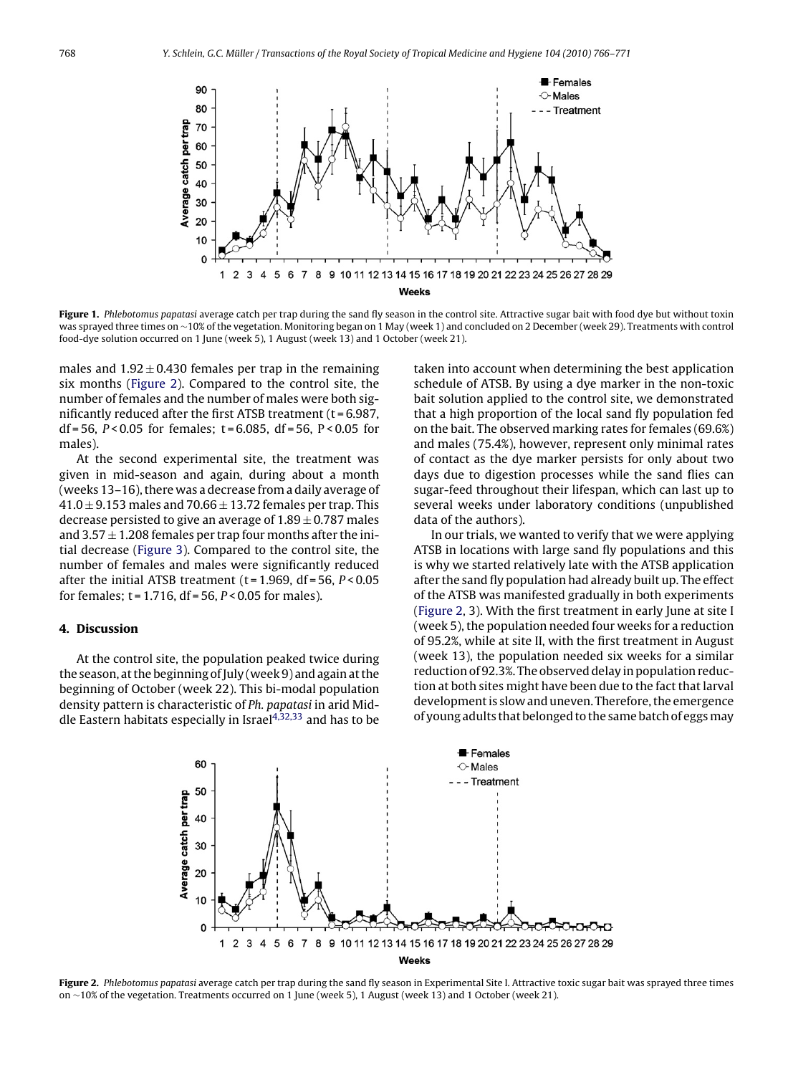<span id="page-2-0"></span>

Figure 1. Phlebotomus papatasi average catch per trap during the sand fly season in the control site. Attractive sugar bait with food dye but without toxin was sprayed three times on ∼10% of the vegetation. Monitoring began on 1 May (week 1) and concluded on 2 December (week 29). Treatments with control food-dye solution occurred on 1 June (week 5), 1 August (week 13) and 1 October (week 21).

males and  $1.92 \pm 0.430$  females per trap in the remaining six months (Figure 2). Compared to the control site, the number of females and the number of males were both significantly reduced after the first ATSB treatment  $(t = 6.987,$ df = 56,  $P < 0.05$  for females; t = 6.085, df = 56,  $P < 0.05$  for males).

At the second experimental site, the treatment was given in mid-season and again, during about a month (weeks 13–16), there was a decrease from a daily average of  $41.0 \pm 9.153$  males and 70.66  $\pm$  13.72 females per trap. This decrease persisted to give an average of  $1.89 \pm 0.787$  males and  $3.57 \pm 1.208$  females per trap four months after the initial decrease [\(Figure 3\).](#page-3-0) Compared to the control site, the number of females and males were significantly reduced after the initial ATSB treatment ( $t = 1.969$ , df = 56,  $P < 0.05$ for females;  $t = 1.716$ ,  $df = 56$ ,  $P < 0.05$  for males).

### **4. Discussion**

At the control site, the population peaked twice during the season, at the beginning of July (week 9) and again at the beginning of October (week 22). This bi-modal population density pattern is characteristic of Ph. papatasi in arid Middle Eastern habitats especially in Israel $4,32,33$  and has to be

taken into account when determining the best application schedule of ATSB. By using a dye marker in the non-toxic bait solution applied to the control site, we demonstrated that a high proportion of the local sand fly population fed on the bait. The observed marking rates for females (69.6%) and males (75.4%), however, represent only minimal rates of contact as the dye marker persists for only about two days due to digestion processes while the sand flies can sugar-feed throughout their lifespan, which can last up to several weeks under laboratory conditions (unpublished data of the authors).

In our trials, we wanted to verify that we were applying ATSB in locations with large sand fly populations and this is why we started relatively late with the ATSB application after the sand fly population had already built up. The effect of the ATSB was manifested gradually in both experiments (Figure 2, 3). With the first treatment in early June at site I (week 5), the population needed four weeks for a reduction of 95.2%, while at site II, with the first treatment in August (week 13), the population needed six weeks for a similar reduction of 92.3%. The observed delay in population reduction at both sites might have been due to the fact that larval development is slow and uneven. Therefore, the emergence of young adults that belonged to the same batch of eggsmay



**Figure 2.** Phlebotomus papatasi average catch per trap during the sand fly season in Experimental Site I. Attractive toxic sugar bait was sprayed three times on ∼10% of the vegetation. Treatments occurred on 1 June (week 5), 1 August (week 13) and 1 October (week 21).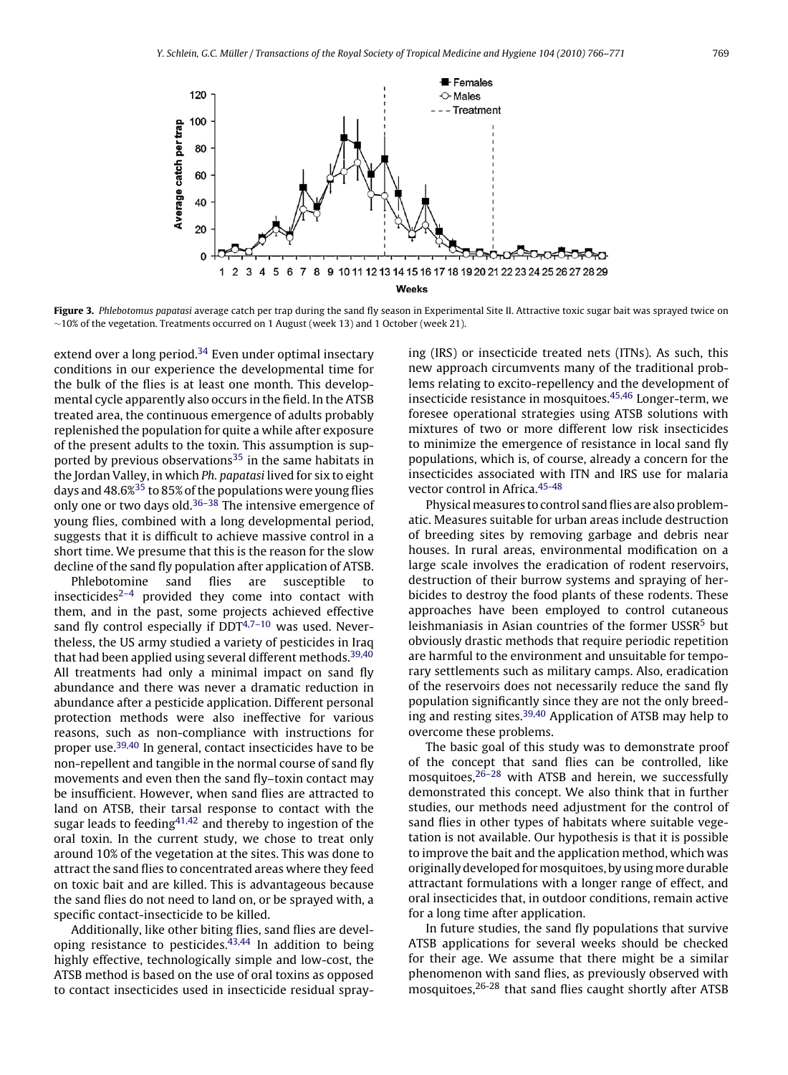<span id="page-3-0"></span>

Figure 3. Phlebotomus papatasi average catch per trap during the sand fly season in Experimental Site II. Attractive toxic sugar bait was sprayed twice on ∼10% of the vegetation. Treatments occurred on 1 August (week 13) and 1 October (week 21).

extend over a long period.<sup>[34](#page-4-0)</sup> Even under optimal insectary conditions in our experience the developmental time for the bulk of the flies is at least one month. This developmental cycle apparently also occurs in the field. In the ATSB treated area, the continuous emergence of adults probably replenished the population for quite a while after exposure of the present adults to the toxin. This assumption is supported by previous observations $35$  in the same habitats in the Jordan Valley, in which Ph. papatasi lived for six to eight days and 48.6%[35](#page-4-0) to 85% of the populations were young flies only one or two days old.<sup>[36–38](#page-4-0)</sup> The intensive emergence of young flies, combined with a long developmental period, suggests that it is difficult to achieve massive control in a short time. We presume that this is the reason for the slow decline of the sand fly population after application of ATSB.

Phlebotomine sand flies are susceptible to insecticides<sup> $2-4$ </sup> provided they come into contact with them, and in the past, some projects achieved effective sand fly control especially if  $DDT^{4,7-10}$  was used. Nevertheless, the US army studied a variety of pesticides in Iraq that had been applied using several different methods.<sup>39,40</sup> All treatments had only a minimal impact on sand fly abundance and there was never a dramatic reduction in abundance after a pesticide application. Different personal protection methods were also ineffective for various reasons, such as non-compliance with instructions for proper use.[39,40](#page-4-0) In general, contact insecticides have to be non-repellent and tangible in the normal course of sand fly movements and even then the sand fly–toxin contact may be insufficient. However, when sand flies are attracted to land on ATSB, their tarsal response to contact with the sugar leads to feeding  $4^{1,42}$  and thereby to ingestion of the oral toxin. In the current study, we chose to treat only around 10% of the vegetation at the sites. This was done to attract the sand flies to concentrated areas where they feed on toxic bait and are killed. This is advantageous because the sand flies do not need to land on, or be sprayed with, a specific contact-insecticide to be killed.

Additionally, like other biting flies, sand flies are developing resistance to pesticides. $43,44$  In addition to being highly effective, technologically simple and low-cost, the ATSB method is based on the use of oral toxins as opposed to contact insecticides used in insecticide residual spraying (IRS) or insecticide treated nets (ITNs). As such, this new approach circumvents many of the traditional problems relating to excito-repellency and the development of insecticide resistance in mosquitoes.[45,46](#page-5-0) Longer-term, we foresee operational strategies using ATSB solutions with mixtures of two or more different low risk insecticides to minimize the emergence of resistance in local sand fly populations, which is, of course, already a concern for the insecticides associated with ITN and IRS use for malaria vector control in Africa.[45-48](#page-5-0)

Physical measures to control sand flies are also problematic. Measures suitable for urban areas include destruction of breeding sites by removing garbage and debris near houses. In rural areas, environmental modification on a large scale involves the eradication of rodent reservoirs, destruction of their burrow systems and spraying of herbicides to destroy the food plants of these rodents. These approaches have been employed to control cutaneous leishmaniasis in Asian countries of the former USSR<sup>[5](#page-4-0)</sup> but obviously drastic methods that require periodic repetition are harmful to the environment and unsuitable for temporary settlements such as military camps. Also, eradication of the reservoirs does not necessarily reduce the sand fly population significantly since they are not the only breeding and resting sites.<sup>39,40</sup> Application of ATSB may help to overcome these problems.

The basic goal of this study was to demonstrate proof of the concept that sand flies can be controlled, like mosquitoes, $26-28$  with ATSB and herein, we successfully demonstrated this concept. We also think that in further studies, our methods need adjustment for the control of sand flies in other types of habitats where suitable vegetation is not available. Our hypothesis is that it is possible to improve the bait and the application method, which was originally developed for mosquitoes, by using more durable attractant formulations with a longer range of effect, and oral insecticides that, in outdoor conditions, remain active for a long time after application.

In future studies, the sand fly populations that survive ATSB applications for several weeks should be checked for their age. We assume that there might be a similar phenomenon with sand flies, as previously observed with mosquitoes, $26-28$  that sand flies caught shortly after ATSB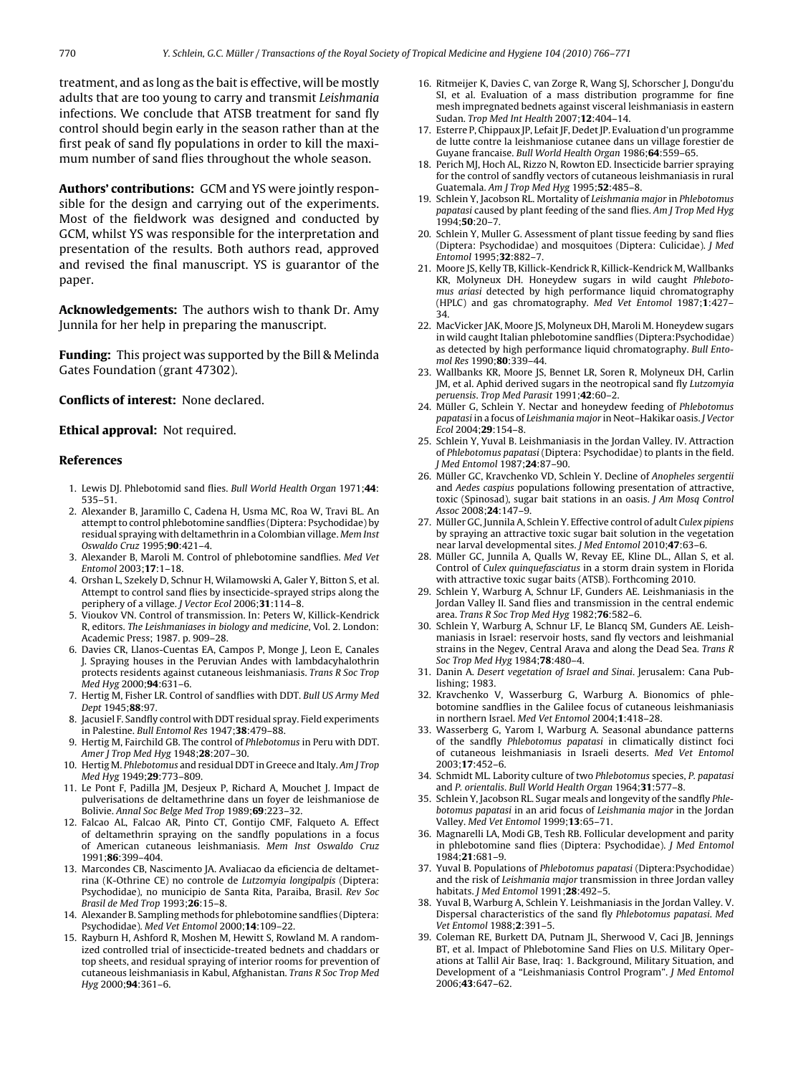<span id="page-4-0"></span>treatment, and as long as the bait is effective, will be mostly adults that are too young to carry and transmit Leishmania infections. We conclude that ATSB treatment for sand fly control should begin early in the season rather than at the first peak of sand fly populations in order to kill the maximum number of sand flies throughout the whole season.

**Authors' contributions:** GCM and YS were jointly responsible for the design and carrying out of the experiments. Most of the fieldwork was designed and conducted by GCM, whilst YS was responsible for the interpretation and presentation of the results. Both authors read, approved and revised the final manuscript. YS is guarantor of the paper.

**Acknowledgements:** The authors wish to thank Dr. Amy Junnila for her help in preparing the manuscript.

**Funding:** This project was supported by the Bill & Melinda Gates Foundation (grant 47302).

#### **Conflicts of interest:** None declared.

#### **Ethical approval:** Not required.

#### **References**

- 1. Lewis DJ. Phlebotomid sand flies. Bull World Health Organ 1971;**44**: 535–51.
- 2. Alexander B, Jaramillo C, Cadena H, Usma MC, Roa W, Travi BL. An attempt to control phlebotomine sandflies (Diptera: Psychodidae) by residual spraying with deltamethrin in a Colombian village. Mem Inst Oswaldo Cruz 1995;**90**:421–4.
- 3. Alexander B, Maroli M. Control of phlebotomine sandflies. Med Vet Entomol 2003;**17**:1–18.
- 4. Orshan L, Szekely D, Schnur H, Wilamowski A, Galer Y, Bitton S, et al. Attempt to control sand flies by insecticide-sprayed strips along the periphery of a village. J Vector Ecol 2006;**31**:114–8.
- 5. Vioukov VN. Control of transmission. In: Peters W, Killick-Kendrick R, editors. The Leishmaniases in biology and medicine, Vol. 2. London: Academic Press; 1987. p. 909–28.
- 6. Davies CR, Llanos-Cuentas EA, Campos P, Monge J, Leon E, Canales J. Spraying houses in the Peruvian Andes with lambdacyhalothrin protects residents against cutaneous leishmaniasis. Trans R Soc Trop Med Hyg 2000;**94**:631–6.
- 7. Hertig M, Fisher LR. Control of sandflies with DDT. Bull US Army Med Dept 1945;**88**:97.
- 8. Jacusiel F. Sandfly control with DDT residual spray. Field experiments in Palestine. Bull Entomol Res 1947;**38**:479–88.
- 9. Hertig M, Fairchild GB. The control of Phlebotomus in Peru with DDT. Amer J Trop Med Hyg 1948;**28**:207–30.
- 10. Hertig M. Phlebotomus and residual DDT in Greece and Italy. Am J Trop Med Hyg 1949;**29**:773–809.
- 11. Le Pont F, Padilla JM, Desjeux P, Richard A, Mouchet J. Impact de pulverisations de deltamethrine dans un foyer de leishmaniose de Bolivie. Annal Soc Belge Med Trop 1989;**69**:223–32.
- 12. Falcao AL, Falcao AR, Pinto CT, Gontijo CMF, Falqueto A. Effect of deltamethrin spraying on the sandfly populations in a focus of American cutaneous leishmaniasis. Mem Inst Oswaldo Cruz 1991;**86**:399–404.
- 13. Marcondes CB, Nascimento JA. Avaliacao da eficiencia de deltametrina (K-Othrine CE) no controle de Lutzomyia longipalpis (Diptera: Psychodidae), no municipio de Santa Rita, Paraiba, Brasil. Rev Soc Brasil de Med Trop 1993;**26**:15–8.
- 14. Alexander B. Sampling methods for phlebotomine sandflies (Diptera: Psychodidae). Med Vet Entomol 2000;**14**:109–22.
- 15. Rayburn H, Ashford R, Moshen M, Hewitt S, Rowland M. A randomized controlled trial of insecticide-treated bednets and chaddars or top sheets, and residual spraying of interior rooms for prevention of cutaneous leishmaniasis in Kabul, Afghanistan. Trans R Soc Trop Med Hyg 2000;**94**:361–6.
- 16. Ritmeijer K, Davies C, van Zorge R, Wang SJ, Schorscher J, Dongu'du SI, et al. Evaluation of a mass distribution programme for fine mesh impregnated bednets against visceral leishmaniasis in eastern Sudan. Trop Med Int Health 2007;**12**:404–14.
- 17. Esterre P, Chippaux JP, Lefait JF, Dedet JP. Evaluation d'un programme de lutte contre la leishmaniose cutanee dans un village forestier de Guyane francaise. Bull World Health Organ 1986;**64**:559–65.
- 18. Perich MJ, Hoch AL, Rizzo N, Rowton ED. Insecticide barrier spraying for the control of sandfly vectors of cutaneous leishmaniasis in rural Guatemala. Am J Trop Med Hyg 1995;**52**:485–8.
- 19. Schlein Y, Jacobson RL. Mortality of Leishmania major in Phlebotomus papatasi caused by plant feeding of the sand flies. Am J Trop Med Hyg 1994;**50**:20–7.
- 20. Schlein Y, Muller G. Assessment of plant tissue feeding by sand flies (Diptera: Psychodidae) and mosquitoes (Diptera: Culicidae). J Med Entomol 1995;**32**:882–7.
- 21. Moore JS, Kelly TB, Killick-Kendrick R, Killick-Kendrick M, Wallbanks KR, Molyneux DH. Honeydew sugars in wild caught Phlebotomus ariasi detected by high performance liquid chromatography (HPLC) and gas chromatography. Med Vet Entomol 1987;**1**:427– 34.
- 22. MacVicker JAK, Moore JS, Molyneux DH, Maroli M. Honeydew sugars in wild caught Italian phlebotomine sandflies (Diptera:Psychodidae) as detected by high performance liquid chromatography. Bull Entomol Res 1990;**80**:339–44.
- 23. Wallbanks KR, Moore JS, Bennet LR, Soren R, Molyneux DH, Carlin JM, et al. Aphid derived sugars in the neotropical sand fly Lutzomyia peruensis. Trop Med Parasit 1991;**42**:60–2.
- 24. Müller G, Schlein Y. Nectar and honeydew feeding of Phlebotomus papatasi in a focus of Leishmania major in Neot–Hakikar oasis. J Vector Ecol 2004;**29**:154–8.
- 25. Schlein Y, Yuval B. Leishmaniasis in the Jordan Valley. IV. Attraction of Phlebotomus papatasi (Diptera: Psychodidae) to plants in the field. J Med Entomol 1987;**24**:87–90.
- 26. Müller GC, Kravchenko VD, Schlein Y. Decline of Anopheles sergentii and Aedes caspius populations following presentation of attractive, toxic (Spinosad), sugar bait stations in an oasis. J Am Mosq Control Assoc 2008;**24**:147–9.
- 27. Müller GC, Junnila A, Schlein Y. Effective control of adult Culex pipiens by spraying an attractive toxic sugar bait solution in the vegetation near larval developmental sites. J Med Entomol 2010;**47**:63–6.
- 28. Müller GC, Junnila A, Qualls W, Revay EE, Kline DL., Allan S, et al. Control of Culex quinquefasciatus in a storm drain system in Florida with attractive toxic sugar baits (ATSB). Forthcoming 2010.
- 29. Schlein Y, Warburg A, Schnur LF, Gunders AE. Leishmaniasis in the Jordan Valley II. Sand flies and transmission in the central endemic area. Trans R Soc Trop Med Hyg 1982;**76**:582–6.
- 30. Schlein Y, Warburg A, Schnur LF, Le Blancq SM, Gunders AE. Leishmaniasis in Israel: reservoir hosts, sand fly vectors and leishmanial strains in the Negev, Central Arava and along the Dead Sea. Trans R Soc Trop Med Hyg 1984;**78**:480–4.
- 31. Danin A. Desert vegetation of Israel and Sinai. Jerusalem: Cana Publishing; 1983.
- 32. Kravchenko V, Wasserburg G, Warburg A. Bionomics of phlebotomine sandflies in the Galilee focus of cutaneous leishmaniasis in northern Israel. Med Vet Entomol 2004;**1**:418–28.
- 33. Wasserberg G, Yarom I, Warburg A. Seasonal abundance patterns of the sandfly Phlebotomus papatasi in climatically distinct foci of cutaneous leishmaniasis in Israeli deserts. Med Vet Entomol 2003;**17**:452–6.
- 34. Schmidt ML. Labority culture of two Phlebotomus species, P. papatasi and P. orientalis. Bull World Health Organ 1964;**31**:577–8.
- 35. Schlein Y, Jacobson RL. Sugar meals and longevity of the sandfly Phlebotomus papatasi in an arid focus of Leishmania major in the Jordan Valley. Med Vet Entomol 1999;**13**:65–71.
- 36. Magnarelli LA, Modi GB, Tesh RB. Follicular development and parity in phlebotomine sand flies (Diptera: Psychodidae). J Med Entomol 1984;**21**:681–9.
- 37. Yuval B. Populations of Phlebotomus papatasi (Diptera:Psychodidae) and the risk of Leishmania major transmission in three Jordan valley habitats. J Med Entomol 1991;**28**:492–5.
- 38. Yuval B, Warburg A, Schlein Y. Leishmaniasis in the Jordan Valley. V. Dispersal characteristics of the sand fly Phlebotomus papatasi. Med Vet Entomol 1988;**2**:391–5.
- 39. Coleman RE, Burkett DA, Putnam JL, Sherwood V, Caci JB, Jennings BT, et al. Impact of Phlebotomine Sand Flies on U.S. Military Operations at Tallil Air Base, Iraq: 1. Background, Military Situation, and Development of a "Leishmaniasis Control Program". J Med Entomol 2006;**43**:647–62.